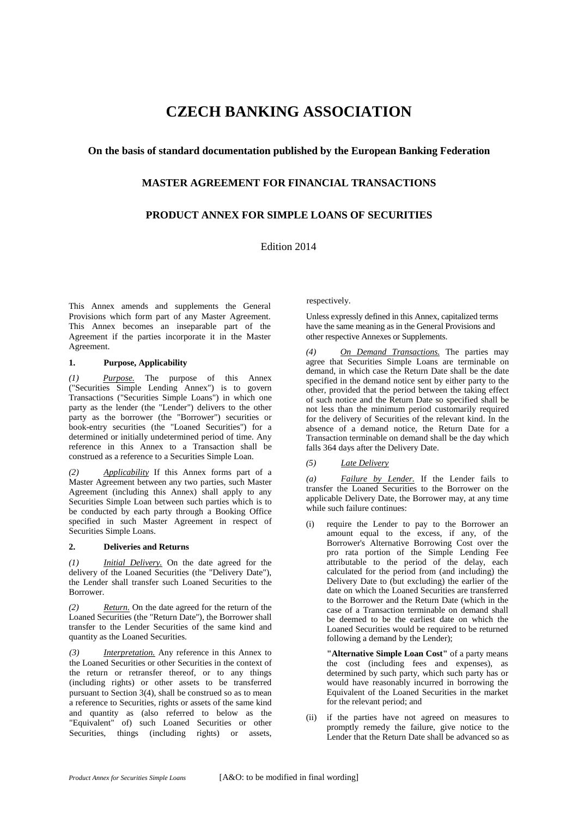# **CZECH BANKING ASSOCIATION**

## **On the basis of standard documentation published by the European Banking Federation**

## **MASTER AGREEMENT FOR FINANCIAL TRANSACTIONS**

# **PRODUCT ANNEX FOR SIMPLE LOANS OF SECURITIES**

Edition 2014

This Annex amends and supplements the General Provisions which form part of any Master Agreement. This Annex becomes an inseparable part of the Agreement if the parties incorporate it in the Master Agreement.

### **1. Purpose, Applicability**

*(1) Purpose.* The purpose of this Annex ("Securities Simple Lending Annex") is to govern Transactions ("Securities Simple Loans") in which one party as the lender (the "Lender") delivers to the other party as the borrower (the "Borrower") securities or book-entry securities (the "Loaned Securities") for a determined or initially undetermined period of time. Any reference in this Annex to a Transaction shall be construed as a reference to a Securities Simple Loan.

*(2) Applicability* If this Annex forms part of a Master Agreement between any two parties, such Master Agreement (including this Annex) shall apply to any Securities Simple Loan between such parties which is to be conducted by each party through a Booking Office specified in such Master Agreement in respect of Securities Simple Loans.

### **2. Deliveries and Returns**

*(1) Initial Delivery.* On the date agreed for the delivery of the Loaned Securities (the "Delivery Date"), the Lender shall transfer such Loaned Securities to the Borrower.

*(2) Return.* On the date agreed for the return of the Loaned Securities (the "Return Date"), the Borrower shall transfer to the Lender Securities of the same kind and quantity as the Loaned Securities.

*(3) Interpretation.* Any reference in this Annex to the Loaned Securities or other Securities in the context of the return or retransfer thereof, or to any things (including rights) or other assets to be transferred pursuant to Section 3(4), shall be construed so as to mean a reference to Securities, rights or assets of the same kind and quantity as (also referred to below as the "Equivalent" of) such Loaned Securities or other Securities, things (including rights) or assets,

respectively.

Unless expressly defined in this Annex, capitalized terms have the same meaning as in the General Provisions and other respective Annexes or Supplements.

*(4) On Demand Transactions.* The parties may agree that Securities Simple Loans are terminable on demand, in which case the Return Date shall be the date specified in the demand notice sent by either party to the other, provided that the period between the taking effect of such notice and the Return Date so specified shall be not less than the minimum period customarily required for the delivery of Securities of the relevant kind. In the absence of a demand notice, the Return Date for a Transaction terminable on demand shall be the day which falls 364 days after the Delivery Date.

### *(5) Late Delivery*

*(a) Failure by Lender.* If the Lender fails to transfer the Loaned Securities to the Borrower on the applicable Delivery Date, the Borrower may, at any time while such failure continues:

(i) require the Lender to pay to the Borrower an amount equal to the excess, if any, of the Borrower's Alternative Borrowing Cost over the pro rata portion of the Simple Lending Fee attributable to the period of the delay, each calculated for the period from (and including) the Delivery Date to (but excluding) the earlier of the date on which the Loaned Securities are transferred to the Borrower and the Return Date (which in the case of a Transaction terminable on demand shall be deemed to be the earliest date on which the Loaned Securities would be required to be returned following a demand by the Lender);

**"Alternative Simple Loan Cost"** of a party means the cost (including fees and expenses), as determined by such party, which such party has or would have reasonably incurred in borrowing the Equivalent of the Loaned Securities in the market for the relevant period; and

(ii) if the parties have not agreed on measures to promptly remedy the failure, give notice to the Lender that the Return Date shall be advanced so as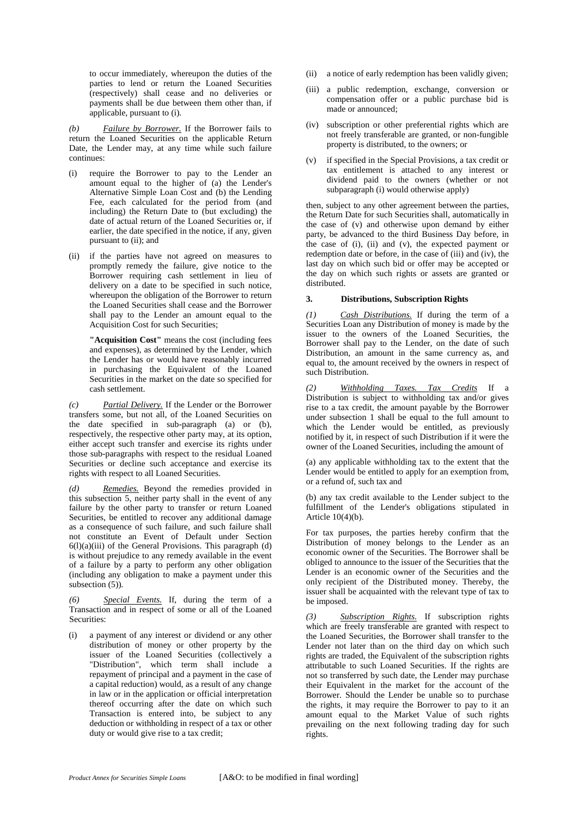to occur immediately, whereupon the duties of the parties to lend or return the Loaned Securities (respectively) shall cease and no deliveries or payments shall be due between them other than, if applicable, pursuant to (i).

*(b) Failure by Borrower.* If the Borrower fails to return the Loaned Securities on the applicable Return Date, the Lender may, at any time while such failure continues:

- (i) require the Borrower to pay to the Lender an amount equal to the higher of (a) the Lender's Alternative Simple Loan Cost and (b) the Lending Fee, each calculated for the period from (and including) the Return Date to (but excluding) the date of actual return of the Loaned Securities or, if earlier, the date specified in the notice, if any, given pursuant to (ii); and
- (ii) if the parties have not agreed on measures to promptly remedy the failure, give notice to the Borrower requiring cash settlement in lieu of delivery on a date to be specified in such notice, whereupon the obligation of the Borrower to return the Loaned Securities shall cease and the Borrower shall pay to the Lender an amount equal to the Acquisition Cost for such Securities;

**"Acquisition Cost"** means the cost (including fees and expenses), as determined by the Lender, which the Lender has or would have reasonably incurred in purchasing the Equivalent of the Loaned Securities in the market on the date so specified for cash settlement.

*(c) Partial Delivery.* If the Lender or the Borrower transfers some, but not all, of the Loaned Securities on the date specified in sub-paragraph (a) or (b), respectively, the respective other party may, at its option, either accept such transfer and exercise its rights under those sub-paragraphs with respect to the residual Loaned Securities or decline such acceptance and exercise its rights with respect to all Loaned Securities.

*(d) Remedies.* Beyond the remedies provided in this subsection 5, neither party shall in the event of any failure by the other party to transfer or return Loaned Securities, be entitled to recover any additional damage as a consequence of such failure, and such failure shall not constitute an Event of Default under Section  $6(1)(a)(iii)$  of the General Provisions. This paragraph  $(d)$ is without prejudice to any remedy available in the event of a failure by a party to perform any other obligation (including any obligation to make a payment under this subsection (5))*.*

*(6) Special Events.* If, during the term of a Transaction and in respect of some or all of the Loaned Securities:

(i) a payment of any interest or dividend or any other distribution of money or other property by the issuer of the Loaned Securities (collectively a "Distribution", which term shall include a repayment of principal and a payment in the case of a capital reduction) would, as a result of any change in law or in the application or official interpretation thereof occurring after the date on which such Transaction is entered into, be subject to any deduction or withholding in respect of a tax or other duty or would give rise to a tax credit;

- (ii) a notice of early redemption has been validly given;
- (iii) a public redemption, exchange, conversion or compensation offer or a public purchase bid is made or announced;
- (iv) subscription or other preferential rights which are not freely transferable are granted, or non-fungible property is distributed, to the owners; or
- (v) if specified in the Special Provisions, a tax credit or tax entitlement is attached to any interest or dividend paid to the owners (whether or not subparagraph (i) would otherwise apply)

then, subject to any other agreement between the parties, the Return Date for such Securities shall, automatically in the case of (v) and otherwise upon demand by either party, be advanced to the third Business Day before, in the case of (i), (ii) and (v), the expected payment or redemption date or before, in the case of (iii) and (iv), the last day on which such bid or offer may be accepted or the day on which such rights or assets are granted or distributed.

#### **3. Distributions, Subscription Rights**

*(1) Cash Distributions.* If during the term of a Securities Loan any Distribution of money is made by the issuer to the owners of the Loaned Securities, the Borrower shall pay to the Lender, on the date of such Distribution, an amount in the same currency as, and equal to, the amount received by the owners in respect of such Distribution.

*(2) Withholding Taxes. Tax Credits* If a Distribution is subject to withholding tax and/or gives rise to a tax credit, the amount payable by the Borrower under subsection 1 shall be equal to the full amount to which the Lender would be entitled, as previously notified by it, in respect of such Distribution if it were the owner of the Loaned Securities, including the amount of

(a) any applicable withholding tax to the extent that the Lender would be entitled to apply for an exemption from, or a refund of, such tax and

(b) any tax credit available to the Lender subject to the fulfillment of the Lender's obligations stipulated in Article 10(4)(b).

For tax purposes, the parties hereby confirm that the Distribution of money belongs to the Lender as an economic owner of the Securities. The Borrower shall be obliged to announce to the issuer of the Securities that the Lender is an economic owner of the Securities and the only recipient of the Distributed money. Thereby, the issuer shall be acquainted with the relevant type of tax to be imposed.

*(3) Subscription Rights.* If subscription rights which are freely transferable are granted with respect to the Loaned Securities, the Borrower shall transfer to the Lender not later than on the third day on which such rights are traded, the Equivalent of the subscription rights attributable to such Loaned Securities. If the rights are not so transferred by such date, the Lender may purchase their Equivalent in the market for the account of the Borrower. Should the Lender be unable so to purchase the rights, it may require the Borrower to pay to it an amount equal to the Market Value of such rights prevailing on the next following trading day for such rights.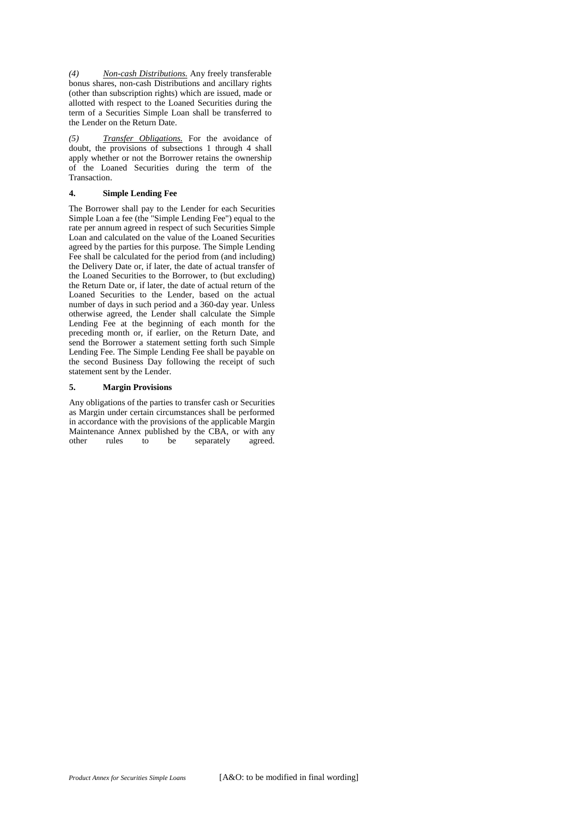*(4) Non-cash Distributions.* Any freely transferable bonus shares, non-cash Distributions and ancillary rights (other than subscription rights) which are issued, made or allotted with respect to the Loaned Securities during the term of a Securities Simple Loan shall be transferred to the Lender on the Return Date.

*(5) Transfer Obligations.* For the avoidance of doubt, the provisions of subsections 1 through 4 shall apply whether or not the Borrower retains the ownership of the Loaned Securities during the term of the Transaction.

## **4. Simple Lending Fee**

The Borrower shall pay to the Lender for each Securities Simple Loan a fee (the "Simple Lending Fee") equal to the rate per annum agreed in respect of such Securities Simple Loan and calculated on the value of the Loaned Securities agreed by the parties for this purpose. The Simple Lending Fee shall be calculated for the period from (and including) the Delivery Date or, if later, the date of actual transfer of the Loaned Securities to the Borrower, to (but excluding) the Return Date or, if later, the date of actual return of the Loaned Securities to the Lender, based on the actual number of days in such period and a 360-day year. Unless otherwise agreed, the Lender shall calculate the Simple Lending Fee at the beginning of each month for the preceding month or, if earlier, on the Return Date, and send the Borrower a statement setting forth such Simple Lending Fee. The Simple Lending Fee shall be payable on the second Business Day following the receipt of such statement sent by the Lender.

### **5. Margin Provisions**

Any obligations of the parties to transfer cash or Securities as Margin under certain circumstances shall be performed in accordance with the provisions of the applicable Margin Maintenance Annex published by the CBA, or with any other rules to be separately agreed. separately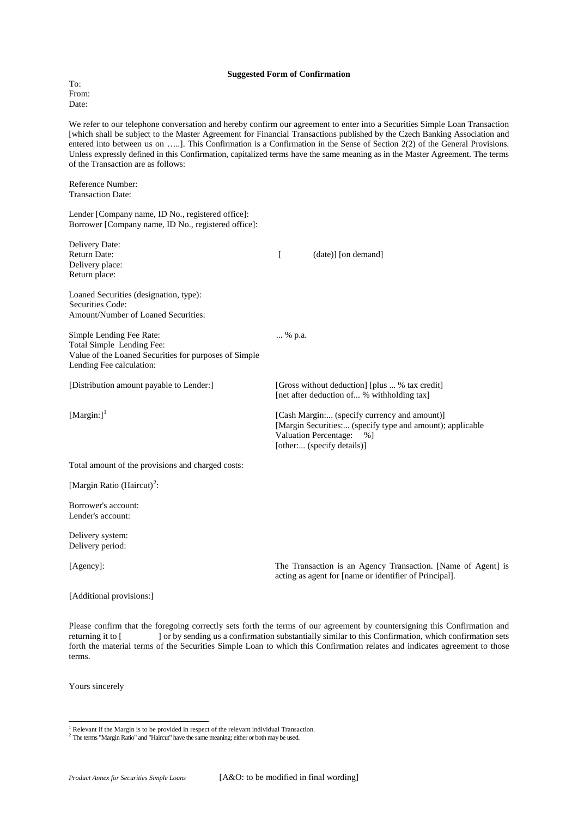#### **Suggested Form of Confirmation**

To: From: Date:

We refer to our telephone conversation and hereby confirm our agreement to enter into a Securities Simple Loan Transaction [which shall be subject to the Master Agreement for Financial Transactions published by the Czech Banking Association and entered into between us on …..]. This Confirmation is a Confirmation in the Sense of Section 2(2) of the General Provisions. Unless expressly defined in this Confirmation, capitalized terms have the same meaning as in the Master Agreement. The terms of the Transaction are as follows:

Reference Number: Transaction Date:

Lender [Company name, ID No., registered office]: Borrower [Company name, ID No., registered office]:

| Delivery Date:<br><b>Return Date:</b><br>Delivery place:<br>Return place:                                                                  |        | (date)] [on demand]                                                                                                                                                       |
|--------------------------------------------------------------------------------------------------------------------------------------------|--------|---------------------------------------------------------------------------------------------------------------------------------------------------------------------------|
| Loaned Securities (designation, type):<br>Securities Code:<br>Amount/Number of Loaned Securities:                                          |        |                                                                                                                                                                           |
| Simple Lending Fee Rate:<br>Total Simple Lending Fee:<br>Value of the Loaned Securities for purposes of Simple<br>Lending Fee calculation: | % p.a. |                                                                                                                                                                           |
| [Distribution amount payable to Lender:]                                                                                                   |        | [Gross without deduction] [plus  % tax credit]<br>[net after deduction of % withholding tax]                                                                              |
| [Margin:] $1$                                                                                                                              |        | [Cash Margin: (specify currency and amount)]<br>[Margin Securities: (specify type and amount); applicable<br>Valuation Percentage:<br>$%$ ]<br>[other: (specify details)] |
| Total amount of the provisions and charged costs:                                                                                          |        |                                                                                                                                                                           |
| [Margin Ratio (Haircut) <sup>2</sup> :                                                                                                     |        |                                                                                                                                                                           |
| Borrower's account:<br>Lender's account:                                                                                                   |        |                                                                                                                                                                           |
| Delivery system:<br>Delivery period:                                                                                                       |        |                                                                                                                                                                           |
| [Agency]:                                                                                                                                  |        | The Transaction is an Agency Transaction. [Name of Agent] is<br>acting as agent for [name or identifier of Principal].                                                    |
| [Additional provisions:]                                                                                                                   |        |                                                                                                                                                                           |
|                                                                                                                                            |        |                                                                                                                                                                           |

Please confirm that the foregoing correctly sets forth the terms of our agreement by countersigning this Confirmation and returning it to [ ] or by sending us a confirmation substantially similar to this Confirmation, which confirmation sets forth the material terms of the Securities Simple Loan to which this Confirmation relates and indicates agreement to those terms.

Yours sincerely

-

<sup>&</sup>lt;sup>1</sup> Relevant if the Margin is to be provided in respect of the relevant individual Transaction.

<span id="page-3-1"></span><span id="page-3-0"></span><sup>&</sup>lt;sup>2</sup> The terms "Margin Ratio" and "Haircut" have the same meaning; either or both may be used.